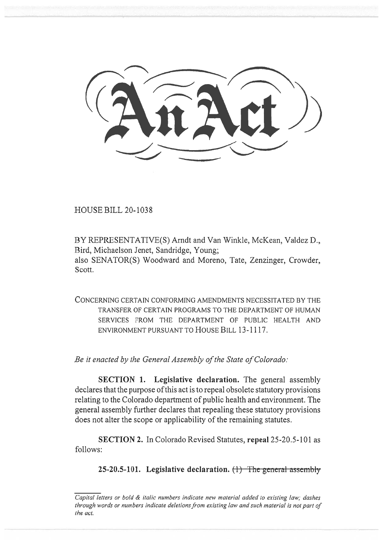HOUSE BILL 20-1038

BY REPRESENTATIVE(S) Arndt and Van Winkle, McKean, Valdez D., Bird, Michaelson Jenet, Sandridge, Young; also SENATOR(S) Woodward and Moreno, Tate, Zenzinger, Crowder, Scott.

CONCERNING CERTAIN CONFORMING AMENDMENTS NECESSITATED BY THE TRANSFER OF CERTAIN PROGRAMS TO THE DEPARTMENT OF HUMAN SERVICES FROM THE DEPARTMENT OF PUBLIC HEALTH AND ENVIRONMENT PURSUANT TO HOUSE BILL 13-1117.

*Be it enacted by the General Assembly of the State of Colorado:* 

**SECTION 1.** Legislative declaration. The general assembly declares that the purpose of this act is to repeal obsolete statutory provisions relating to the Colorado department of public health and environment. The general assembly further declares that repealing these statutory provisions does not alter the scope or applicability of the remaining statutes.

**SECTION 2.** In Colorado Revised Statutes, **repeal** 25-20.5-101 as follows:

**25-20.5-101.** Legislative declaration. (1) The general assembly

*Capital letters or bold & italic numbers indicate new material added to existing law; dashes through words or numbers indicate deletions from existing law and such material is not part of the act.*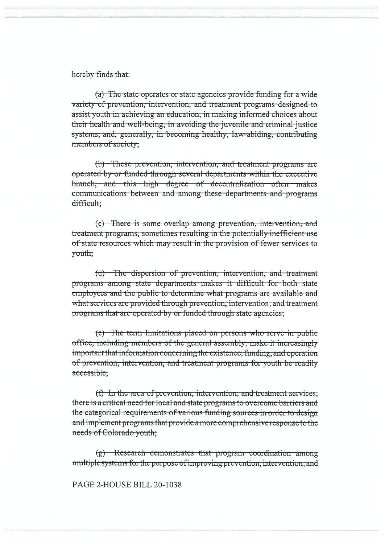#### hereby finds that:

(a) The state operates or state agencies provide funding for a wide variety of prevention, intervention, and treatment programs designed to assist youth in achieving an education, in making informed choices about their health and well-being, in avoiding the juvenile and criminal justice systems, and, generally, in becoming healthy, law-abiding, contributing members of society;

(b) These prevention, intervention, and treatment programs are operated by or funded through several departments within the executive branch, and this high degree of decentralization often makes communications between and among these departments and programs difficult:

(c) There is some overlap among prevention, intervention, and treatment programs, sometimes resulting in the potentially inefficient use of state resources which may result in the provision of fewer services to vouth:

(d) The dispersion of prevention, intervention, and treatment programs among state departments makes it difficult for both state employees and the public to determine what programs are available and what services are provided through prevention, intervention, and treatment programs that are operated by or funded through state agencies;

(e) The term limitations placed on persons who serve in public office, including members of the general assembly, make it increasingly important that information concerning the existence, funding, and operation of prevention, intervention, and treatment-programs for youth be readily accessible;

(f) In the area of prevention, intervention, and treatment services, there is a critical need for local and state programs to overcome barriers and the categorical requirements of various funding sources in order to design and implement programs that provide a more comprehensive response to the needs of Colorado youth;

(g) Research demonstrates that program coordination among multiple systems for the purpose of improving prevention, intervention, and

PAGE 2-HOUSE BILL 20-1038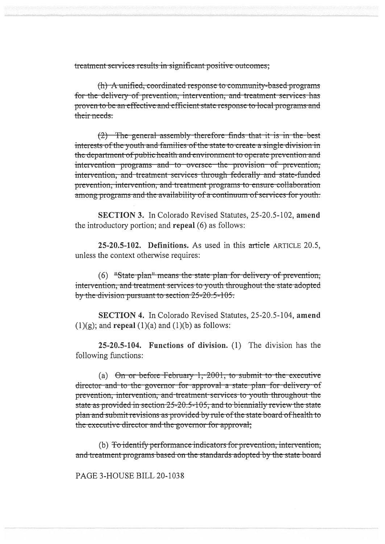treatment services results in significant positive outcomes;

(h) A unified, coordinated response to community-based programs for the delivery of prevention, intervention, and treatment services has proven to be an effective and efficient state response to local programs and their needs.

 $(2)$  The general assembly therefore finds that it is in the best interests of the youth and families of the state to create a single division in the department of public health and environment to operate prevention and intervention programs and to oversee the provision of prevention, intervention, and treatment services through federally and state-funded prevention, intervention, and treatment programs to ensure collaboration among programs and the availability of a continuum of services for youth.

**SECTION 3.** In Colorado Revised Statutes, 25-20.5-102, amend the introductory portion; and repeal (6) as follows:

25-20.5-102. Definitions. As used in this article ARTICLE 20.5. unless the context otherwise requires:

 $(6)$  "State-plan" means the state-plan for delivery of prevention, intervention, and treatment services to youth throughout the state adopted by the division pursuant to section 25-20.5-105.

**SECTION 4.** In Colorado Revised Statutes, 25-20.5-104, amend  $(1)(g)$ ; and **repeal**  $(1)(a)$  and  $(1)(b)$  as follows:

25-20.5-104. Functions of division. (1) The division has the following functions:

(a)  $\Theta$  or before February 1, 2001, to submit to the executive director and to the governor for approval a state plan for delivery of prevention, intervention, and treatment services to youth throughout the state as provided in section 25-20.5-105, and to biennially review the state plan and submit revisions as provided by rule of the state board of health to the executive director and the governor for approval;

(b) <del>To identify performance indicators for prevention, intervention,</del> and treatment programs based on the standards adopted by the state board

PAGE 3-HOUSE BILL 20-1038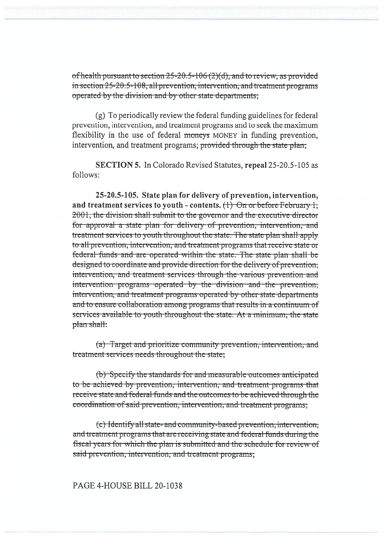of health pursuant to section 25-20.5-106 (2)(d), and to review, as provided in section 25-20.5-108, all prevention, intervention, and treatment programs operated by the division and by other state departments;

(g) To periodically review the federal funding guidelines for federal prevention, intervention, and treatment programs and to seek the maximum flexibility in the use of federal moneys MONEY in funding prevention, intervention, and treatment programs; provided through the state plan;

**SECTION 5.** In Colorado Revised Statutes, repeal 25-20.5-105 as follows:

25-20.5-105. State plan for delivery of prevention, intervention, and treatment services to youth - contents.  $(1)$  On or before February 1. 2001, the division shall submit to the governor and the executive director for approval a state plan for delivery of prevention, intervention, and treatment services to youth throughout the state. The state plan shall apply to all prevention, intervention, and treatment programs that receive state or federal funds and are operated within the state. The state plan shall be designed to coordinate and provide direction for the delivery of prevention, intervention, and treatment services through the various prevention and intervention programs operated by the division and the prevention, intervention, and treatment programs operated by other state departments and to ensure collaboration among programs that results in a continuum of services available to youth throughout the state. At a minimum, the state plan shall:

(a) Target and prioritize community prevention, intervention, and treatment services needs throughout the state;

(b) Specify the standards for and measurable outcomes anticipated to be achieved by prevention, intervention, and treatment programs that receive state and federal funds and the outcomes to be achieved through the coordination of said prevention, intervention, and treatment programs;

(c) Identify all state- and community-based prevention, intervention, and treatment programs that are receiving state and federal funds during the fiscal years for which the plan is submitted and the schedule for review of said prevention, intervention, and treatment programs;

## PAGE 4-HOUSE BILL 20-1038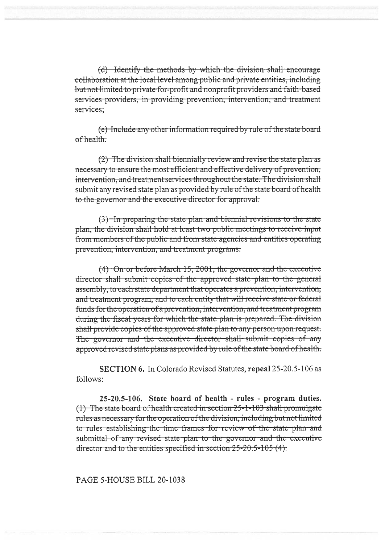(d) Identify the methods by which the division shall encourage collaboration at the local level among public and private entities, including but not limited to private-for-profit and nonprofit providers and faith-based services providers, in providing prevention, intervention, and treatment services:

(e) Include any other information required by rule of the state board  $of health$ 

(2) The division shall biennially review and revise the state plan as necessary to ensure the most efficient and effective delivery of prevention, intervention, and treatment services throughout the state. The division shall submit any revised state plan as provided by rule of the state board of health to the governor and the executive director for approval.

(3) In preparing the state plan and biennial revisions to the state plan, the division shall hold at least two public meetings to receive input from members of the public and from state agencies and entities operating prevention, intervention, and treatment programs.

 $(4)$  On or before March 15, 2001, the governor and the executive director shall submit copies of the approved state plan to the general assembly, to each state department that operates a prevention, intervention, and treatment program, and to each entity that will receive state or federal funds for the operation of a prevention, intervention, and treatment program during the fiscal years for which the state plan is prepared. The division shall provide copies of the approved state plan to any person upon request. The governor and the executive director shall submit copies of any approved revised state plans as provided by rule of the state board of health.

SECTION 6. In Colorado Revised Statutes, repeal 25-20.5-106 as follows:

25-20.5-106. State board of health - rules - program duties. (1) The state board of health created in section 25-1-103 shall promulgate rules as necessary for the operation of the division, including but not limited to rules establishing the time frames for review of the state plan and submittal of any revised state plan to the governor and the executive director and to the entities specified in section  $25-20.5-105(4)$ .

## PAGE 5-HOUSE BILL 20-1038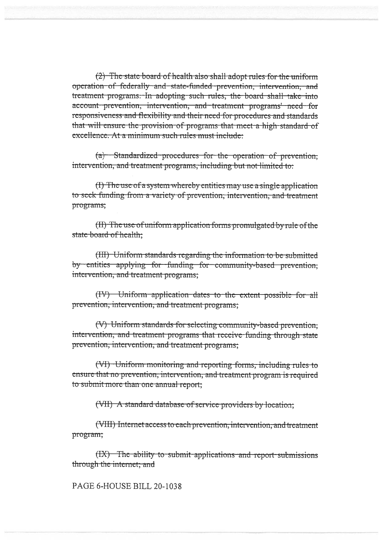(2) The state board of health also shall adopt rules for the uniform operation of federally and state-funded prevention, intervention, and treatment programs. In adopting such rules, the board shall take into account prevention, intervention, and treatment programs' need for responsiveness and flexibility and their need for procedures and standards that will ensure the provision of programs that meet a high standard of excellence. At a minimum such rules must include:

(a) Standardized procedures for the operation of prevention, intervention, and treatment programs, including but not limited to:

(I) The use of a system whereby entities may use a single application to seek funding from a variety of prevention, intervention, and treatment programs;

(II) The use of uniform application forms promulgated by rule of the state board of health;

(III) Uniform standards regarding the information to be submitted by entities applying for funding for community-based prevention, intervention, and treatment programs;

(IV) Uniform application dates to the extent possible for all prevention, intervention, and treatment programs;

(V) Uniform standards for selecting community-based prevention, intervention, and treatment programs that receive funding through state prevention, intervention, and treatment programs;

(VI) Uniform monitoring and reporting forms, including rules to ensure that no prevention, intervention, and treatment program is required to submit more than one annual report;

(VII) A standard database of service providers by location;

(VIII) Internet access to each prevention, intervention, and treatment program;

(IX) The ability to submit applications and report submissions through the internet; and

PAGE 6-HOUSE BILL 20-1038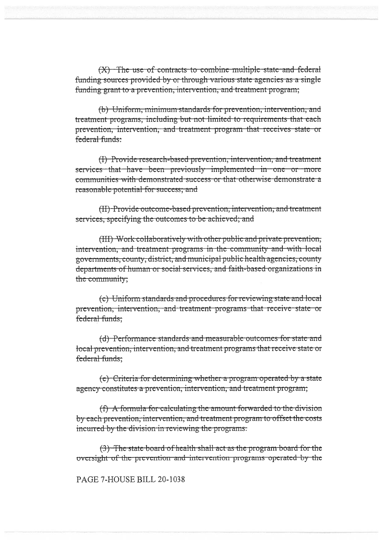$(X)$ . The use of contracts to combine multiple state and federal funding sources provided by or through various state agencies as a single funding grant to a prevention, intervention, and treatment program;

(b) Uniform, minimum standards for prevention, intervention, and treatment programs, including but not limited to requirements that each prevention, intervention, and treatment program that receives state or federal funds:

(I) Provide research-based prevention, intervention, and treatment services that have been previously implemented in one or more communities with demonstrated success or that otherwise demonstrate a reasonable potential for success; and

(II) Provide outcome-based prevention, intervention, and treatment services, specifying the outcomes to be achieved; and

(III) Work collaboratively with other public and private prevention, intervention, and treatment programs in the community and with local governments, county, district, and municipal public health agencies, county departments of human or social services, and faith-based organizations in the community;

(c) Uniform standards and procedures for reviewing state and local prevention, intervention, and treatment programs that receive state or federal funds:

(d) Performance standards and measurable outcomes for state and local prevention, intervention, and treatment programs that receive state or federal funds:

(e) Criteria for determining whether a program operated by a state agency constitutes a prevention, intervention, and treatment program;

(f) A formula for calculating the amount forwarded to the division by each prevention, intervention, and treatment program to offset the costs incurred by the division in reviewing the programs.

(3) The state board of health shall act as the program board for the oversight of the prevention and intervention programs operated by the

PAGE 7-HOUSE BILL 20-1038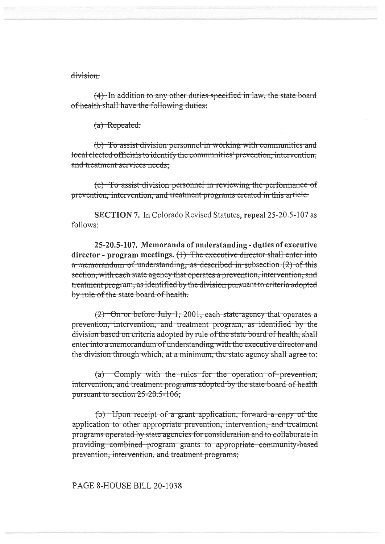## division

 $(4)$ . In addition to any other duties specified in law, the state board of health shall have the following duties:

(a) Repealed.

(b) To assist division personnel in working with communities and local elected officials to identify the communities' prevention, intervention, and treatment services needs;

(c) To assist division personnel in reviewing the performance of prevention, intervention, and treatment programs created in this article.

SECTION 7. In Colorado Revised Statutes, repeal 25-20.5-107 as follows:

25-20.5-107. Memoranda of understanding - duties of executive director - program meetings.  $(1)$  The executive director shall enter into a memorandum of understanding, as described in subsection (2) of this section, with each state agency that operates a prevention, intervention, and treatment program, as identified by the division pursuant to criteria adopted by rule of the state board of health.

(2) On or before July 1, 2001, each state agency that operates a prevention, intervention, and treatment program, as identified by the division based on criteria adopted by rule of the state board of health, shall enter into a memorandum of understanding with the executive director and the division through which, at a minimum, the state agency shall agree to:

 $(a)$  Comply with the rules for the operation of prevention; intervention, and treatment programs adopted by the state board of health pursuant to section 25-20.5-106;

 $(b)$  -Upon receipt of a grant application, forward a copy of the application to other appropriate prevention, intervention, and treatment programs operated by state agencies for consideration and to collaborate in providing combined program grants to appropriate community-based prevention, intervention, and treatment programs;

# PAGE 8-HOUSE BILL 20-1038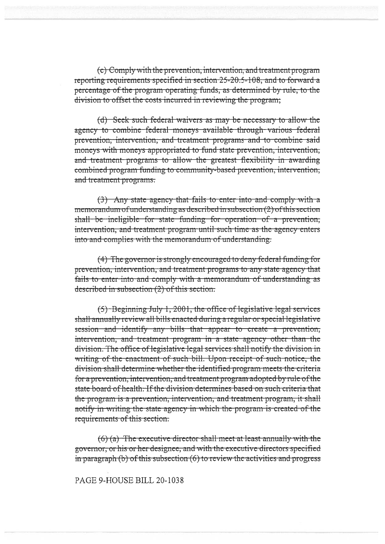(c) Comply with the prevention, intervention, and treatment program reporting requirements specified in section 25-20.5-108, and to forward a percentage of the program operating funds, as determined by rule, to the division to offset the costs incurred in reviewing the program;

(d) Seek such federal waivers as may be necessary to allow the agency to combine federal moneys available through various federal prevention, intervention, and treatment programs and to combine said moneys with moneys appropriated to fund state prevention, intervention, and treatment programs to allow the greatest flexibility in awarding combined program funding to community-based prevention, intervention, and treatment programs.

(3) Any state agency that fails to enter into and comply with a memorandum of understanding as described in subsection  $(2)$  of this section shall be ineligible for state funding for operation of a prevention, intervention, and treatment program until such time as the agency enters into and complies with the memorandum of understanding.

(4) The governor is strongly encouraged to deny federal funding for prevention, intervention, and treatment programs to any state agency that fails to enter into and comply with a memorandum of understanding as described in subsection  $(2)$  of this section.

 $(5)$  Beginning July 1, 2001, the office of legislative legal services shall annually review all bills enacted during a regular or special legislative session and identify any bills that appear to create a prevention, intervention, and treatment program in a state agency other than the division. The office of legislative legal services shall notify the division in writing of the enactment of such bill. Upon receipt of such notice, the division shall determine whether the identified program meets the criteria for a prevention, intervention, and treatment program adopted by rule of the state board of health. If the division determines based on such criteria that the program is a prevention, intervention, and treatment program, it shall notify in writing the state agency in which the program is created of the requirements of this section.

 $(6)$  (a) The executive director shall meet at least annually with the governor, or his or her designee, and with the executive directors specified in paragraph  $(b)$  of this subsection  $(6)$  to review the activities and progress

PAGE 9-HOUSE BILL 20-1038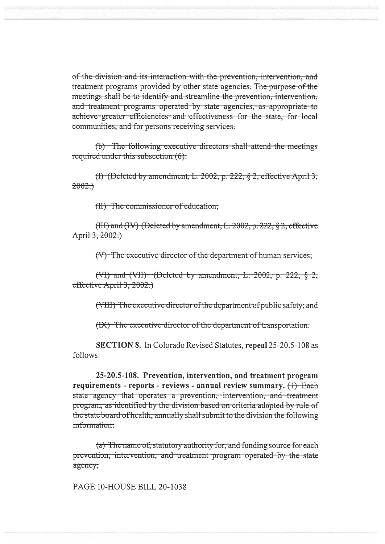of the division and its interaction with the prevention, intervention, and treatment programs provided by other state agencies. The purpose of the meetings shall be to identify and streamline the prevention, intervention, and treatment programs operated by state agencies, as appropriate to achieve greater efficiencies and effectiveness for the state, for local communities, and for persons receiving services.

(b) The following executive directors shall attend the meetings required under this subsection  $(6)$ :

(I) (Deleted by amendment, L. 2002, p. 222,  $\S$  2, effective April 3,  $2002.$ 

(II) The commissioner of education;

(III) and (IV) (Deleted by amendment, L. 2002, p. 222, § 2, effective April 3, 2002.)

(V) The executive director of the department of human services;

(VI) and (VII) (Deleted by amendment, L. 2002, p. 222,  $\S$  2, effective April 3, 2002.)

(VIII) The executive director of the department of public safety; and

(IX) The executive director of the department of transportation.

**SECTION 8.** In Colorado Revised Statutes, repeal 25-20.5-108 as follows:

25-20.5-108. Prevention, intervention, and treatment program requirements - reports - reviews - annual review summary.  $(1)$  Each state agency that operates a prevention, intervention, and treatment program, as identified by the division based on criteria adopted by rule of the state board of health, annually shall submit to the division the following information:

(a) The name of, statutory authority for, and funding source for each prevention, intervention, and treatment program operated by the state agency;

PAGE 10-HOUSE BILL 20-1038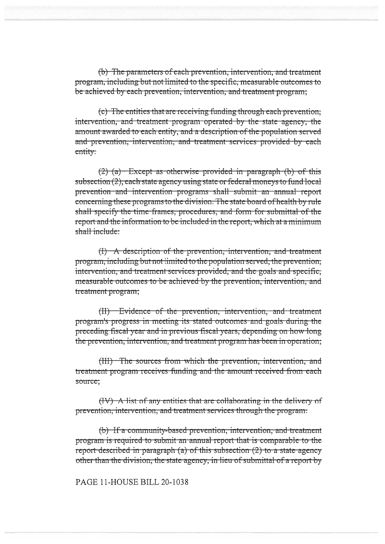(b) The parameters of each prevention, intervention, and treatment program, including but not limited to the specific, measurable outcomes to be achieved by each prevention, intervention, and treatment program;

(c) The entities that are receiving funding through each prevention, intervention, and treatment program operated by the state agency, the amount awarded to each entity, and a description of the population served and prevention, intervention, and treatment services provided by each entity.

 $(2)$  (a) Except as otherwise provided in paragraph  $(b)$  of this subsection (2), each state agency using state or federal moneys to fund local prevention and intervention programs shall submit an annual report concerning these programs to the division. The state board of health by rule shall specify the time frames, procedures, and form for submittal of the report and the information to be included in the report, which at a minimum shall include:

(I) A description of the prevention, intervention, and treatment program, including but not limited to the population served, the prevention; intervention, and treatment services provided, and the goals and specific, measurable outcomes to be achieved by the prevention, intervention, and treatment program;

(II) Evidence of the prevention, intervention, and treatment program's progress in meeting its stated outcomes and goals during the preceding fiscal year and in previous fiscal years, depending on how long the prevention, intervention, and treatment program has been in operation;

(III) The sources from which the prevention, intervention, and treatment program receives funding and the amount received from each source:

(IV) A list of any entities that are collaborating in the delivery of prevention, intervention, and treatment services through the program.

(b) If a community-based prevention, intervention, and treatment program is required to submit an annual report that is comparable to the report described in paragraph (a) of this subsection (2) to a state agency other than the division, the state agency, in lieu of submittal of a report by

PAGE 11-HOUSE BILL 20-1038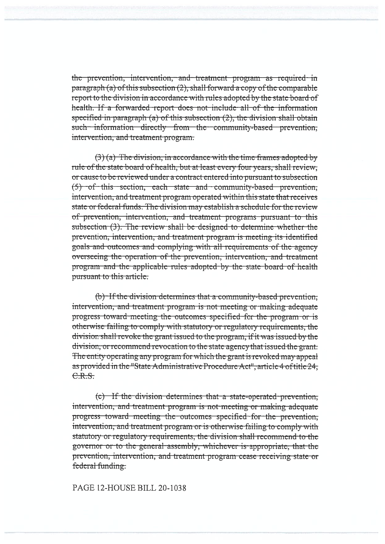the prevention, intervention, and treatment program as required in paragraph (a) of this subsection  $(2)$ , shall forward a copy of the comparable report to the division in accordance with rules adopted by the state board of health. If a forwarded report does not include all of the information specified in paragraph  $(a)$  of this subsection  $(2)$ , the division shall obtain such information directly from the community-based prevention. intervention, and treatment program.

 $(3)$  (a) The division, in accordance with the time frames adopted by rule of the state board of health, but at least every four years, shall review. or cause to be reviewed under a contract entered into pursuant to subsection (5) of this section, each state and community-based prevention, intervention, and treatment program operated within this state that receives state or federal funds. The division may establish a schedule for the review of prevention, intervention, and treatment programs pursuant to this subsection (3). The review shall be designed to determine whether the prevention, intervention, and treatment program is meeting its identified goals and outcomes and complying with all requirements of the agency overseeing the operation of the prevention, intervention, and treatment program and the applicable rules adopted by the state board of health pursuant to this article.

(b) If the division determines that a community-based prevention, intervention, and treatment program is not meeting or making adequate progress toward meeting the outcomes specified for the program or is otherwise failing to comply with statutory or regulatory requirements, the division shall revoke the grant issued to the program, if it was issued by the division, or recommend revocation to the state agency that issued the grant. The entity operating any program for which the grant is revoked may appeal as provided in the "State Administrative Procedure Act", article 4 of title 24,  $C.R.S.$ 

(c) If the division determines that a state-operated prevention. intervention, and treatment program is not meeting or making adequate progress toward meeting the outcomes specified for the prevention. intervention, and treatment program or is otherwise failing to comply with statutory or regulatory requirements, the division shall recommend to the governor or to the general assembly, whichever is appropriate, that the prevention, intervention, and treatment program cease receiving state or federal funding.

#### PAGE 12-HOUSE BILL 20-1038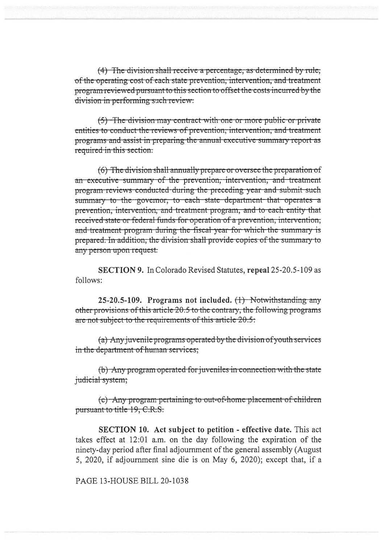$(4)$  The division shall receive a percentage, as determined by rule, of the operating cost of each state prevention, intervention, and treatment program reviewed pursuant to this section to offset the costs incurred by the division in performing such review.

 $(5)$ . The division may contract with one or more public or private. entities to conduct the reviews of prevention, intervention, and treatment programs and assist in preparing the annual executive summary report as required in this section.

 $(6)$  The division shall annually prepare or oversee the preparation of an-executive summary of the prevention, intervention, and treatment program-reviews-conducted-during the preceding-year-and-submit-such summary to the governor, to each state department that operates a prevention, intervention, and treatment program, and to each entity that received state or federal funds for operation of a prevention, intervention, and treatment-program during the fiscal-year-for-which-the-summary is prepared. In addition, the division shall provide copies of the summary to any person upon request.

**SECTION 9.** In Colorado Revised Statutes, **repeal** 25-20.5-109 as follows:

**25-20.5-109. Programs not included. ( ) N**otwithstanding any other provisions of this article  $20.5$  to the contrary, the following programs are not subject to the requirements of this article 20.5:

 $(a)$  Any juvenile programs operated by the division of youth services in the department of human services;

(b) Any program operated for juveniles in connection with the state judicial system;

 $(c)$  Any program pertaining to out-of-home placement of children pursuant to title 19, C.R.S.

**SECTION 10. Act subject to petition - effective date.** This act takes effect at 12:01 a.m. on the day following the expiration of the ninety-day period after final adjournment of the general assembly (August 5, 2020, if adjournment sine die is on May 6, 2020); except that, if a

PAGE 13-HOUSE BILL 20-1038